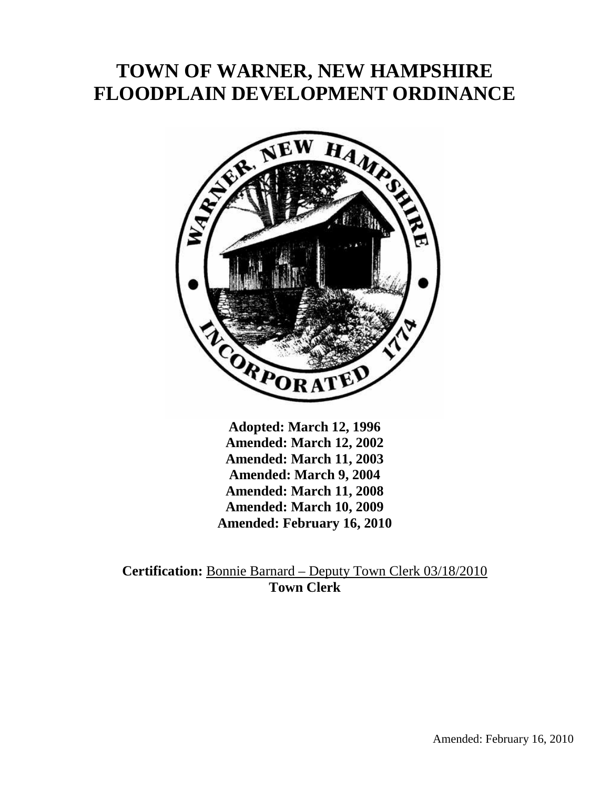# **TOWN OF WARNER, NEW HAMPSHIRE FLOODPLAIN DEVELOPMENT ORDINANCE**



**Adopted: March 12, 1996 Amended: March 12, 2002 Amended: March 11, 2003 Amended: March 9, 2004 Amended: March 11, 2008 Amended: March 10, 2009 Amended: February 16, 2010** 

**Certification:** Bonnie Barnard – Deputy Town Clerk 03/18/2010 **Town Clerk**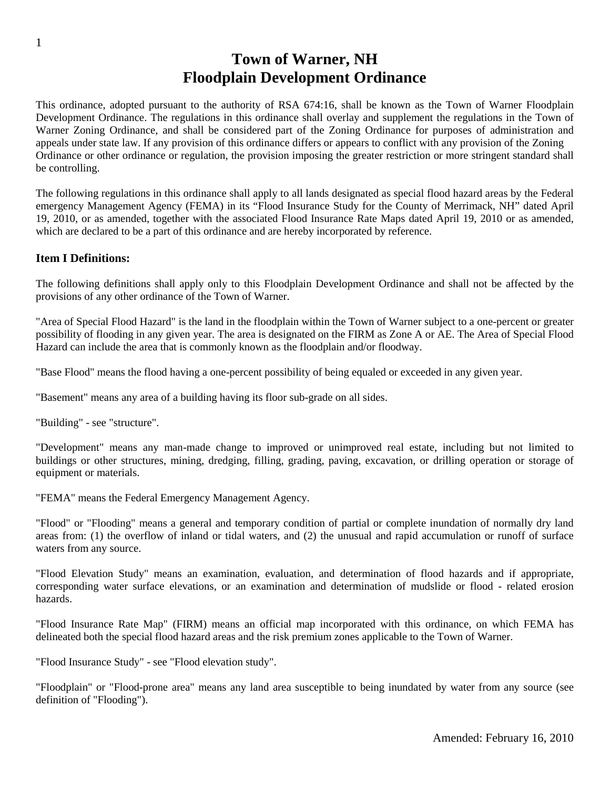# **Town of Warner, NH Floodplain Development Ordinance**

This ordinance, adopted pursuant to the authority of RSA 674:16, shall be known as the Town of Warner Floodplain Development Ordinance. The regulations in this ordinance shall overlay and supplement the regulations in the Town of Warner Zoning Ordinance, and shall be considered part of the Zoning Ordinance for purposes of administration and appeals under state law. If any provision of this ordinance differs or appears to conflict with any provision of the Zoning Ordinance or other ordinance or regulation, the provision imposing the greater restriction or more stringent standard shall be controlling.

The following regulations in this ordinance shall apply to all lands designated as special flood hazard areas by the Federal emergency Management Agency (FEMA) in its "Flood Insurance Study for the County of Merrimack, NH" dated April 19, 2010, or as amended, together with the associated Flood Insurance Rate Maps dated April 19, 2010 or as amended, which are declared to be a part of this ordinance and are hereby incorporated by reference.

#### **Item I Definitions:**

The following definitions shall apply only to this Floodplain Development Ordinance and shall not be affected by the provisions of any other ordinance of the Town of Warner.

"Area of Special Flood Hazard" is the land in the floodplain within the Town of Warner subject to a one-percent or greater possibility of flooding in any given year. The area is designated on the FIRM as Zone A or AE. The Area of Special Flood Hazard can include the area that is commonly known as the floodplain and/or floodway.

"Base Flood" means the flood having a one-percent possibility of being equaled or exceeded in any given year.

"Basement" means any area of a building having its floor sub-grade on all sides.

"Building" - see "structure".

"Development" means any man-made change to improved or unimproved real estate, including but not limited to buildings or other structures, mining, dredging, filling, grading, paving, excavation, or drilling operation or storage of equipment or materials.

"FEMA" means the Federal Emergency Management Agency.

"Flood" or "Flooding" means a general and temporary condition of partial or complete inundation of normally dry land areas from: (1) the overflow of inland or tidal waters, and (2) the unusual and rapid accumulation or runoff of surface waters from any source.

"Flood Elevation Study" means an examination, evaluation, and determination of flood hazards and if appropriate, corresponding water surface elevations, or an examination and determination of mudslide or flood - related erosion hazards.

"Flood Insurance Rate Map" (FIRM) means an official map incorporated with this ordinance, on which FEMA has delineated both the special flood hazard areas and the risk premium zones applicable to the Town of Warner.

"Flood Insurance Study" - see "Flood elevation study".

"Floodplain" or "Flood-prone area" means any land area susceptible to being inundated by water from any source (see definition of "Flooding").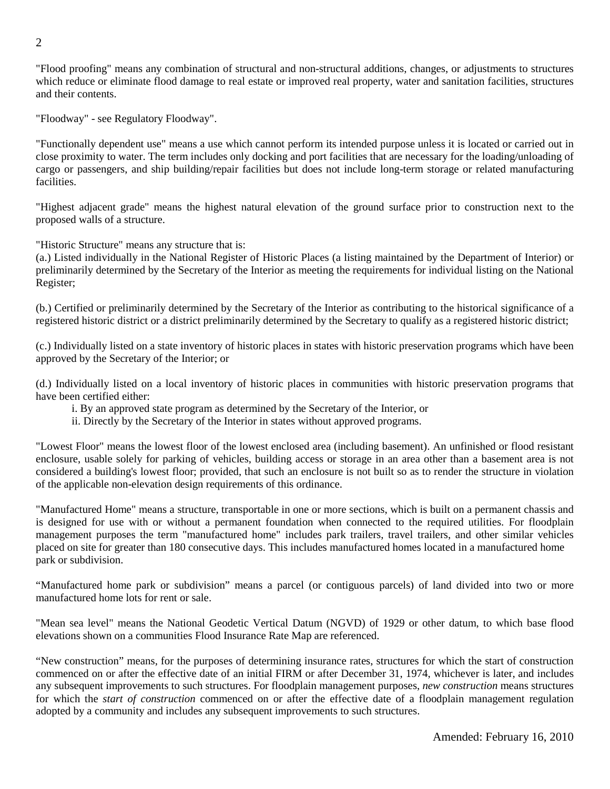"Flood proofing" means any combination of structural and non-structural additions, changes, or adjustments to structures which reduce or eliminate flood damage to real estate or improved real property, water and sanitation facilities, structures and their contents.

"Floodway" - see Regulatory Floodway".

"Functionally dependent use" means a use which cannot perform its intended purpose unless it is located or carried out in close proximity to water. The term includes only docking and port facilities that are necessary for the loading/unloading of cargo or passengers, and ship building/repair facilities but does not include long-term storage or related manufacturing facilities.

"Highest adjacent grade" means the highest natural elevation of the ground surface prior to construction next to the proposed walls of a structure.

"Historic Structure" means any structure that is:

(a.) Listed individually in the National Register of Historic Places (a listing maintained by the Department of Interior) or preliminarily determined by the Secretary of the Interior as meeting the requirements for individual listing on the National Register;

(b.) Certified or preliminarily determined by the Secretary of the Interior as contributing to the historical significance of a registered historic district or a district preliminarily determined by the Secretary to qualify as a registered historic district;

(c.) Individually listed on a state inventory of historic places in states with historic preservation programs which have been approved by the Secretary of the Interior; or

(d.) Individually listed on a local inventory of historic places in communities with historic preservation programs that have been certified either:

- i. By an approved state program as determined by the Secretary of the Interior, or
- ii. Directly by the Secretary of the Interior in states without approved programs.

"Lowest Floor" means the lowest floor of the lowest enclosed area (including basement). An unfinished or flood resistant enclosure, usable solely for parking of vehicles, building access or storage in an area other than a basement area is not considered a building's lowest floor; provided, that such an enclosure is not built so as to render the structure in violation of the applicable non-elevation design requirements of this ordinance.

"Manufactured Home" means a structure, transportable in one or more sections, which is built on a permanent chassis and is designed for use with or without a permanent foundation when connected to the required utilities. For floodplain management purposes the term "manufactured home" includes park trailers, travel trailers, and other similar vehicles placed on site for greater than 180 consecutive days. This includes manufactured homes located in a manufactured home park or subdivision.

"Manufactured home park or subdivision" means a parcel (or contiguous parcels) of land divided into two or more manufactured home lots for rent or sale.

"Mean sea level" means the National Geodetic Vertical Datum (NGVD) of 1929 or other datum, to which base flood elevations shown on a communities Flood Insurance Rate Map are referenced.

"New construction" means, for the purposes of determining insurance rates, structures for which the start of construction commenced on or after the effective date of an initial FIRM or after December 31, 1974, whichever is later, and includes any subsequent improvements to such structures. For floodplain management purposes, *new construction* means structures for which the *start of construction* commenced on or after the effective date of a floodplain management regulation adopted by a community and includes any subsequent improvements to such structures.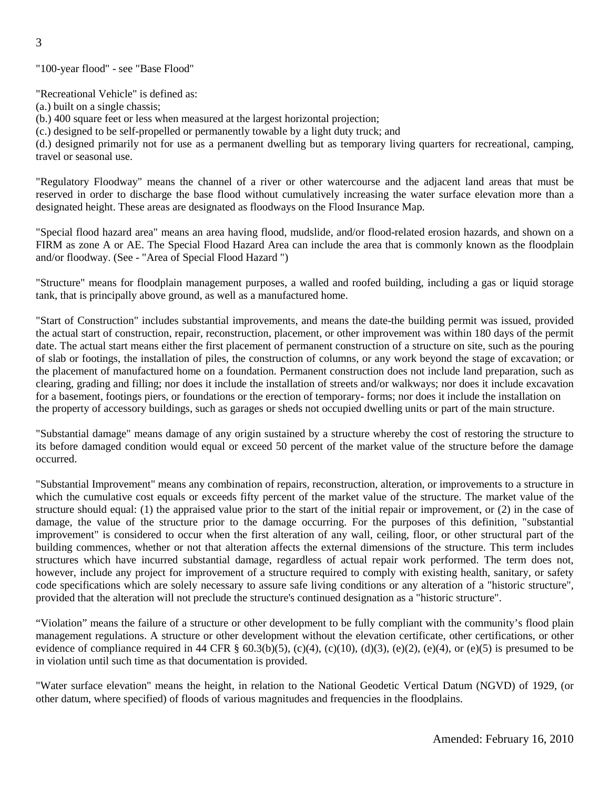"100-year flood" - see "Base Flood"

"Recreational Vehicle" is defined as:

(a.) built on a single chassis;

(b.) 400 square feet or less when measured at the largest horizontal projection;

(c.) designed to be self-propelled or permanently towable by a light duty truck; and

(d.) designed primarily not for use as a permanent dwelling but as temporary living quarters for recreational, camping, travel or seasonal use.

"Regulatory Floodway" means the channel of a river or other watercourse and the adjacent land areas that must be reserved in order to discharge the base flood without cumulatively increasing the water surface elevation more than a designated height. These areas are designated as floodways on the Flood Insurance Map.

"Special flood hazard area" means an area having flood, mudslide, and/or flood-related erosion hazards, and shown on a FIRM as zone A or AE. The Special Flood Hazard Area can include the area that is commonly known as the floodplain and/or floodway. (See - "Area of Special Flood Hazard ")

"Structure" means for floodplain management purposes, a walled and roofed building, including a gas or liquid storage tank, that is principally above ground, as well as a manufactured home.

"Start of Construction" includes substantial improvements, and means the date-the building permit was issued, provided the actual start of construction, repair, reconstruction, placement, or other improvement was within 180 days of the permit date. The actual start means either the first placement of permanent construction of a structure on site, such as the pouring of slab or footings, the installation of piles, the construction of columns, or any work beyond the stage of excavation; or the placement of manufactured home on a foundation. Permanent construction does not include land preparation, such as clearing, grading and filling; nor does it include the installation of streets and/or walkways; nor does it include excavation for a basement, footings piers, or foundations or the erection of temporary- forms; nor does it include the installation on the property of accessory buildings, such as garages or sheds not occupied dwelling units or part of the main structure.

"Substantial damage" means damage of any origin sustained by a structure whereby the cost of restoring the structure to its before damaged condition would equal or exceed 50 percent of the market value of the structure before the damage occurred.

"Substantial Improvement" means any combination of repairs, reconstruction, alteration, or improvements to a structure in which the cumulative cost equals or exceeds fifty percent of the market value of the structure. The market value of the structure should equal: (1) the appraised value prior to the start of the initial repair or improvement, or (2) in the case of damage, the value of the structure prior to the damage occurring. For the purposes of this definition, "substantial improvement" is considered to occur when the first alteration of any wall, ceiling, floor, or other structural part of the building commences, whether or not that alteration affects the external dimensions of the structure. This term includes structures which have incurred substantial damage, regardless of actual repair work performed. The term does not, however, include any project for improvement of a structure required to comply with existing health, sanitary, or safety code specifications which are solely necessary to assure safe living conditions or any alteration of a "historic structure", provided that the alteration will not preclude the structure's continued designation as a "historic structure".

"Violation" means the failure of a structure or other development to be fully compliant with the community's flood plain management regulations. A structure or other development without the elevation certificate, other certifications, or other evidence of compliance required in 44 CFR  $\S$  60.3(b)(5), (c)(4), (c)(10), (d)(3), (e)(2), (e)(4), or (e)(5) is presumed to be in violation until such time as that documentation is provided.

"Water surface elevation" means the height, in relation to the National Geodetic Vertical Datum (NGVD) of 1929, (or other datum, where specified) of floods of various magnitudes and frequencies in the floodplains.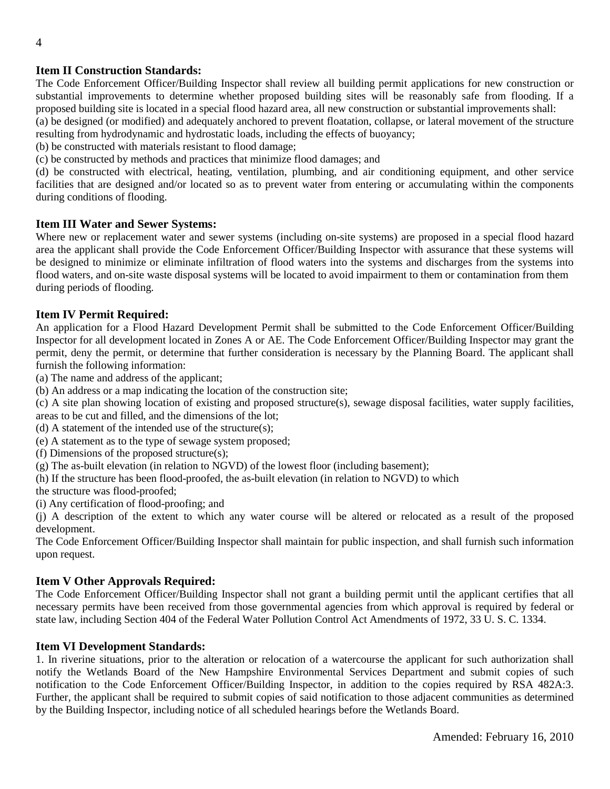# **Item II Construction Standards:**

The Code Enforcement Officer/Building Inspector shall review all building permit applications for new construction or substantial improvements to determine whether proposed building sites will be reasonably safe from flooding. If a proposed building site is located in a special flood hazard area, all new construction or substantial improvements shall:

(a) be designed (or modified) and adequately anchored to prevent floatation, collapse, or lateral movement of the structure resulting from hydrodynamic and hydrostatic loads, including the effects of buoyancy;

(b) be constructed with materials resistant to flood damage;

(c) be constructed by methods and practices that minimize flood damages; and

(d) be constructed with electrical, heating, ventilation, plumbing, and air conditioning equipment, and other service facilities that are designed and/or located so as to prevent water from entering or accumulating within the components during conditions of flooding.

#### **Item III Water and Sewer Systems:**

Where new or replacement water and sewer systems (including on-site systems) are proposed in a special flood hazard area the applicant shall provide the Code Enforcement Officer/Building Inspector with assurance that these systems will be designed to minimize or eliminate infiltration of flood waters into the systems and discharges from the systems into flood waters, and on-site waste disposal systems will be located to avoid impairment to them or contamination from them during periods of flooding.

#### **Item IV Permit Required:**

An application for a Flood Hazard Development Permit shall be submitted to the Code Enforcement Officer/Building Inspector for all development located in Zones A or AE. The Code Enforcement Officer/Building Inspector may grant the permit, deny the permit, or determine that further consideration is necessary by the Planning Board. The applicant shall furnish the following information:

- (a) The name and address of the applicant;
- (b) An address or a map indicating the location of the construction site;
- (c) A site plan showing location of existing and proposed structure(s), sewage disposal facilities, water supply facilities, areas to be cut and filled, and the dimensions of the lot;
- (d) A statement of the intended use of the structure(s);
- (e) A statement as to the type of sewage system proposed;
- (f) Dimensions of the proposed structure(s);
- (g) The as-built elevation (in relation to NGVD) of the lowest floor (including basement);
- (h) If the structure has been flood-proofed, the as-built elevation (in relation to NGVD) to which
- the structure was flood-proofed;
- (i) Any certification of flood-proofing; and

(j) A description of the extent to which any water course will be altered or relocated as a result of the proposed development.

The Code Enforcement Officer/Building Inspector shall maintain for public inspection, and shall furnish such information upon request.

#### **Item V Other Approvals Required:**

The Code Enforcement Officer/Building Inspector shall not grant a building permit until the applicant certifies that all necessary permits have been received from those governmental agencies from which approval is required by federal or state law, including Section 404 of the Federal Water Pollution Control Act Amendments of 1972, 33 U. S. C. 1334.

#### **Item VI Development Standards:**

1. In riverine situations, prior to the alteration or relocation of a watercourse the applicant for such authorization shall notify the Wetlands Board of the New Hampshire Environmental Services Department and submit copies of such notification to the Code Enforcement Officer/Building Inspector, in addition to the copies required by RSA 482A:3. Further, the applicant shall be required to submit copies of said notification to those adjacent communities as determined by the Building Inspector, including notice of all scheduled hearings before the Wetlands Board.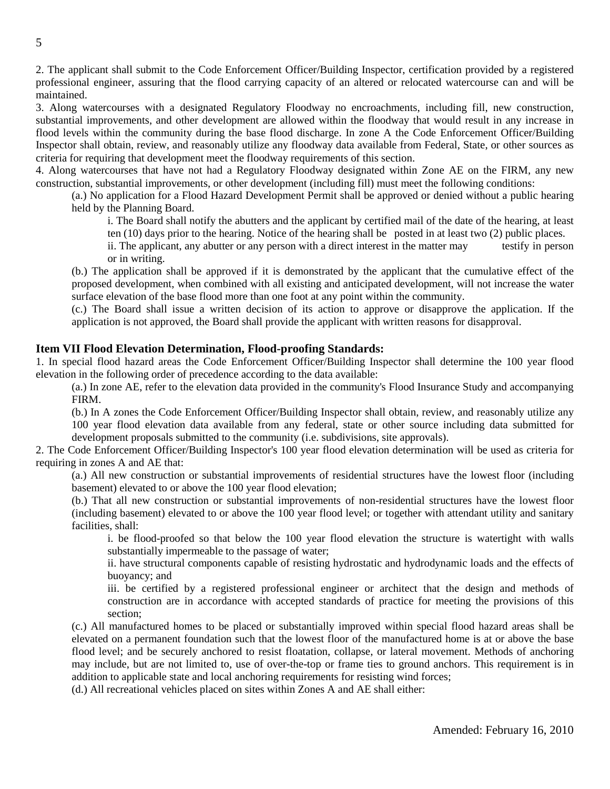2. The applicant shall submit to the Code Enforcement Officer/Building Inspector, certification provided by a registered professional engineer, assuring that the flood carrying capacity of an altered or relocated watercourse can and will be maintained.

3. Along watercourses with a designated Regulatory Floodway no encroachments, including fill, new construction, substantial improvements, and other development are allowed within the floodway that would result in any increase in flood levels within the community during the base flood discharge. In zone A the Code Enforcement Officer/Building Inspector shall obtain, review, and reasonably utilize any floodway data available from Federal, State, or other sources as criteria for requiring that development meet the floodway requirements of this section.

4. Along watercourses that have not had a Regulatory Floodway designated within Zone AE on the FIRM, any new construction, substantial improvements, or other development (including fill) must meet the following conditions:

(a.) No application for a Flood Hazard Development Permit shall be approved or denied without a public hearing held by the Planning Board.

i. The Board shall notify the abutters and the applicant by certified mail of the date of the hearing, at least ten (10) days prior to the hearing. Notice of the hearing shall be posted in at least two (2) public places.

ii. The applicant, any abutter or any person with a direct interest in the matter may testify in person or in writing.

(b.) The application shall be approved if it is demonstrated by the applicant that the cumulative effect of the proposed development, when combined with all existing and anticipated development, will not increase the water surface elevation of the base flood more than one foot at any point within the community.

(c.) The Board shall issue a written decision of its action to approve or disapprove the application. If the application is not approved, the Board shall provide the applicant with written reasons for disapproval.

#### **Item VII Flood Elevation Determination, Flood-proofing Standards:**

1. In special flood hazard areas the Code Enforcement Officer/Building Inspector shall determine the 100 year flood elevation in the following order of precedence according to the data available:

(a.) In zone AE, refer to the elevation data provided in the community's Flood Insurance Study and accompanying FIRM.

(b.) In A zones the Code Enforcement Officer/Building Inspector shall obtain, review, and reasonably utilize any 100 year flood elevation data available from any federal, state or other source including data submitted for development proposals submitted to the community (i.e. subdivisions, site approvals).

2. The Code Enforcement Officer/Building Inspector's 100 year flood elevation determination will be used as criteria for requiring in zones A and AE that:

(a.) All new construction or substantial improvements of residential structures have the lowest floor (including basement) elevated to or above the 100 year flood elevation;

(b.) That all new construction or substantial improvements of non-residential structures have the lowest floor (including basement) elevated to or above the 100 year flood level; or together with attendant utility and sanitary facilities, shall:

i. be flood-proofed so that below the 100 year flood elevation the structure is watertight with walls substantially impermeable to the passage of water;

ii. have structural components capable of resisting hydrostatic and hydrodynamic loads and the effects of buoyancy; and

iii. be certified by a registered professional engineer or architect that the design and methods of construction are in accordance with accepted standards of practice for meeting the provisions of this section;

(c.) All manufactured homes to be placed or substantially improved within special flood hazard areas shall be elevated on a permanent foundation such that the lowest floor of the manufactured home is at or above the base flood level; and be securely anchored to resist floatation, collapse, or lateral movement. Methods of anchoring may include, but are not limited to, use of over-the-top or frame ties to ground anchors. This requirement is in addition to applicable state and local anchoring requirements for resisting wind forces;

(d.) All recreational vehicles placed on sites within Zones A and AE shall either: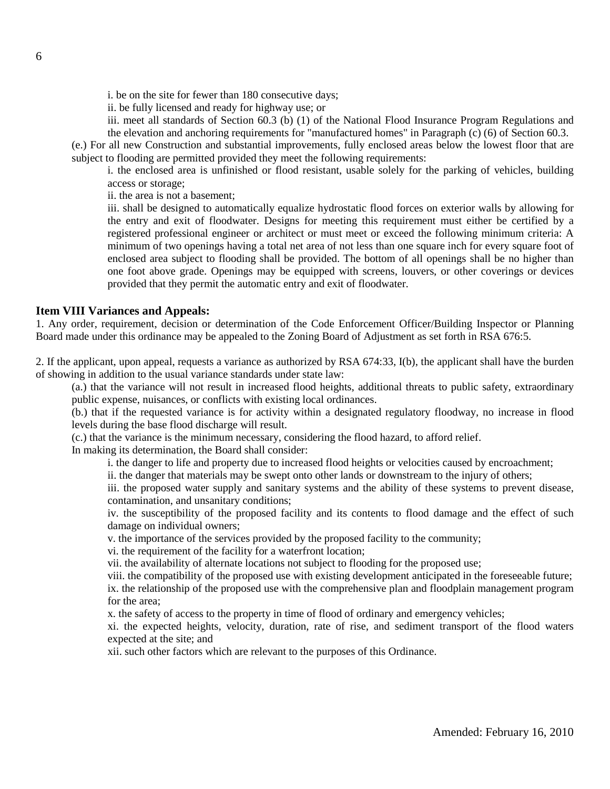i. be on the site for fewer than 180 consecutive days;

ii. be fully licensed and ready for highway use; or

iii. meet all standards of Section 60.3 (b) (1) of the National Flood Insurance Program Regulations and the elevation and anchoring requirements for "manufactured homes" in Paragraph (c) (6) of Section 60.3.

(e.) For all new Construction and substantial improvements, fully enclosed areas below the lowest floor that are subject to flooding are permitted provided they meet the following requirements:

i. the enclosed area is unfinished or flood resistant, usable solely for the parking of vehicles, building access or storage;

ii. the area is not a basement;

iii. shall be designed to automatically equalize hydrostatic flood forces on exterior walls by allowing for the entry and exit of floodwater. Designs for meeting this requirement must either be certified by a registered professional engineer or architect or must meet or exceed the following minimum criteria: A minimum of two openings having a total net area of not less than one square inch for every square foot of enclosed area subject to flooding shall be provided. The bottom of all openings shall be no higher than one foot above grade. Openings may be equipped with screens, louvers, or other coverings or devices provided that they permit the automatic entry and exit of floodwater.

#### **Item VIII Variances and Appeals:**

1. Any order, requirement, decision or determination of the Code Enforcement Officer/Building Inspector or Planning Board made under this ordinance may be appealed to the Zoning Board of Adjustment as set forth in RSA 676:5.

2. If the applicant, upon appeal, requests a variance as authorized by RSA 674:33, I(b), the applicant shall have the burden of showing in addition to the usual variance standards under state law:

(a.) that the variance will not result in increased flood heights, additional threats to public safety, extraordinary public expense, nuisances, or conflicts with existing local ordinances.

(b.) that if the requested variance is for activity within a designated regulatory floodway, no increase in flood levels during the base flood discharge will result.

(c.) that the variance is the minimum necessary, considering the flood hazard, to afford relief.

In making its determination, the Board shall consider:

i. the danger to life and property due to increased flood heights or velocities caused by encroachment;

ii. the danger that materials may be swept onto other lands or downstream to the injury of others;

iii. the proposed water supply and sanitary systems and the ability of these systems to prevent disease, contamination, and unsanitary conditions;

iv. the susceptibility of the proposed facility and its contents to flood damage and the effect of such damage on individual owners;

v. the importance of the services provided by the proposed facility to the community;

vi. the requirement of the facility for a waterfront location;

vii. the availability of alternate locations not subject to flooding for the proposed use;

viii. the compatibility of the proposed use with existing development anticipated in the foreseeable future; ix. the relationship of the proposed use with the comprehensive plan and floodplain management program for the area;

x. the safety of access to the property in time of flood of ordinary and emergency vehicles;

xi. the expected heights, velocity, duration, rate of rise, and sediment transport of the flood waters expected at the site; and

xii. such other factors which are relevant to the purposes of this Ordinance.